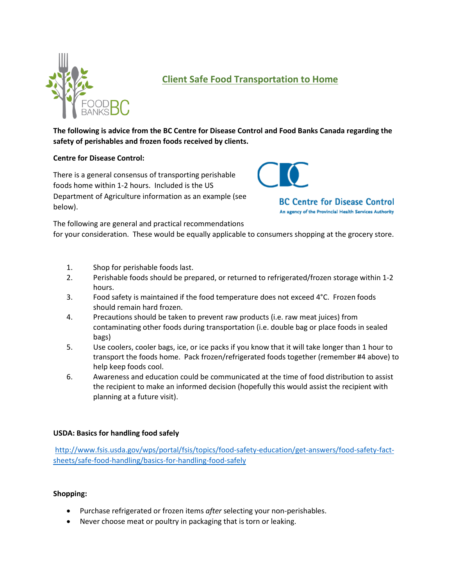

# **Client Safe Food Transportation to Home**

**The following is advice from the BC Centre for Disease Control and Food Banks Canada regarding the safety of perishables and frozen foods received by clients.** 

## **Centre for Disease Control:**

There is a general consensus of transporting perishable foods home within 1-2 hours. Included is the US Department of Agriculture information as an example (see below).



**BC Centre for Disease Control** An agency of the Provincial Health Services Authority

The following are general and practical recommendations

for your consideration. These would be equally applicable to consumers shopping at the grocery store.

- 1. Shop for perishable foods last.
- 2. Perishable foods should be prepared, or returned to refrigerated/frozen storage within 1-2 hours.
- 3. Food safety is maintained if the food temperature does not exceed 4°C. Frozen foods should remain hard frozen.
- 4. Precautions should be taken to prevent raw products (i.e. raw meat juices) from contaminating other foods during transportation (i.e. double bag or place foods in sealed bags)
- 5. Use coolers, cooler bags, ice, or ice packs if you know that it will take longer than 1 hour to transport the foods home. Pack frozen/refrigerated foods together (remember #4 above) to help keep foods cool.
- 6. Awareness and education could be communicated at the time of food distribution to assist the recipient to make an informed decision (hopefully this would assist the recipient with planning at a future visit).

# **USDA: Basics for handling food safely**

[http://www.fsis.usda.gov/wps/portal/fsis/topics/food-safety-education/get-answers/food-safety-fact](http://www.fsis.usda.gov/wps/portal/fsis/topics/food-safety-education/get-answers/food-safety-fact-sheets/safe-food-handling/basics-for-handling-food-safely)[sheets/safe-food-handling/basics-for-handling-food-safely](http://www.fsis.usda.gov/wps/portal/fsis/topics/food-safety-education/get-answers/food-safety-fact-sheets/safe-food-handling/basics-for-handling-food-safely)

#### **Shopping:**

- Purchase refrigerated or frozen items *after* selecting your non-perishables.
- Never choose meat or poultry in packaging that is torn or leaking.